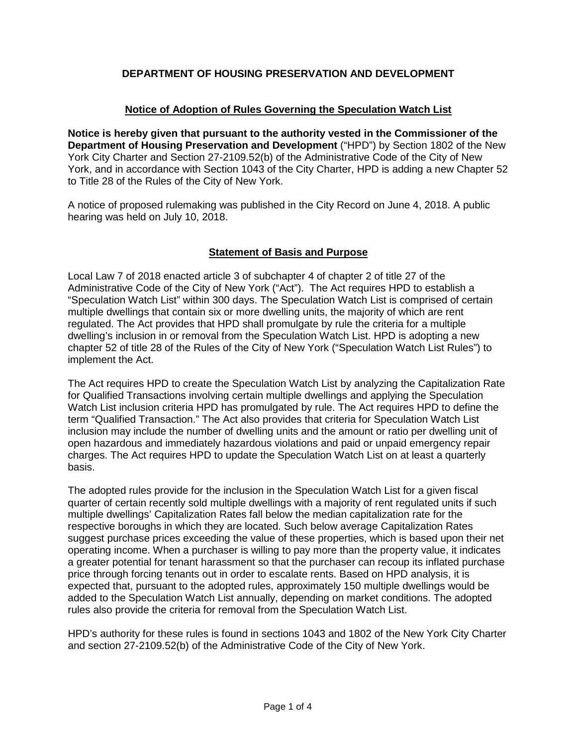# **DEPARTMENT OF HOUSING PRESERVATION AND DEVELOPMENT**

## **Notice of Adoption of Rules Governing the Speculation Watch List**

**Notice is hereby given that pursuant to the authority vested in the Commissioner of the Department of Housing Preservation and Development** ("HPD") by Section 1802 of the New York City Charter and Section 27-2109.52(b) of the Administrative Code of the City of New York, and in accordance with Section 1043 of the City Charter, HPD is adding a new Chapter 52 to Title 28 of the Rules of the City of New York.

A notice of proposed rulemaking was published in the City Record on June 4, 2018. A public hearing was held on July 10, 2018.

# **Statement of Basis and Purpose**

Local Law 7 of 2018 enacted article 3 of subchapter 4 of chapter 2 of title 27 of the Administrative Code of the City of New York ("Act"). The Act requires HPD to establish a "Speculation Watch List" within 300 days. The Speculation Watch List is comprised of certain multiple dwellings that contain six or more dwelling units, the majority of which are rent regulated. The Act provides that HPD shall promulgate by rule the criteria for a multiple dwelling's inclusion in or removal from the Speculation Watch List. HPD is adopting a new chapter 52 of title 28 of the Rules of the City of New York ("Speculation Watch List Rules") to implement the Act.

The Act requires HPD to create the Speculation Watch List by analyzing the Capitalization Rate for Qualified Transactions involving certain multiple dwellings and applying the Speculation Watch List inclusion criteria HPD has promulgated by rule. The Act requires HPD to define the term "Qualified Transaction." The Act also provides that criteria for Speculation Watch List inclusion may include the number of dwelling units and the amount or ratio per dwelling unit of open hazardous and immediately hazardous violations and paid or unpaid emergency repair charges. The Act requires HPD to update the Speculation Watch List on at least a quarterly basis.

The adopted rules provide for the inclusion in the Speculation Watch List for a given fiscal quarter of certain recently sold multiple dwellings with a majority of rent regulated units if such multiple dwellings' Capitalization Rates fall below the median capitalization rate for the respective boroughs in which they are located. Such below average Capitalization Rates suggest purchase prices exceeding the value of these properties, which is based upon their net operating income. When a purchaser is willing to pay more than the property value, it indicates a greater potential for tenant harassment so that the purchaser can recoup its inflated purchase price through forcing tenants out in order to escalate rents. Based on HPD analysis, it is expected that, pursuant to the adopted rules, approximately 150 multiple dwellings would be added to the Speculation Watch List annually, depending on market conditions. The adopted rules also provide the criteria for removal from the Speculation Watch List.

HPD's authority for these rules is found in sections 1043 and 1802 of the New York City Charter and section 27-2109.52(b) of the Administrative Code of the City of New York.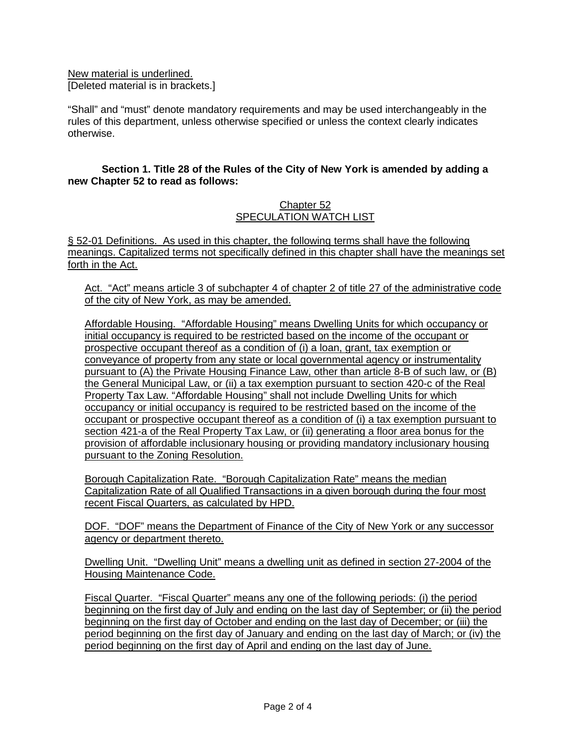New material is underlined. [Deleted material is in brackets.]

"Shall" and "must" denote mandatory requirements and may be used interchangeably in the rules of this department, unless otherwise specified or unless the context clearly indicates otherwise.

## **Section 1. Title 28 of the Rules of the City of New York is amended by adding a new Chapter 52 to read as follows:**

#### Chapter 52 SPECULATION WATCH LIST

§ 52-01 Definitions. As used in this chapter, the following terms shall have the following meanings. Capitalized terms not specifically defined in this chapter shall have the meanings set forth in the Act.

Act. "Act" means article 3 of subchapter 4 of chapter 2 of title 27 of the administrative code of the city of New York, as may be amended.

Affordable Housing. "Affordable Housing" means Dwelling Units for which occupancy or initial occupancy is required to be restricted based on the income of the occupant or prospective occupant thereof as a condition of (i) a loan, grant, tax exemption or conveyance of property from any state or local governmental agency or instrumentality pursuant to (A) the Private Housing Finance Law, other than article 8-B of such law, or (B) the General Municipal Law, or (ii) a tax exemption pursuant to section 420-c of the Real Property Tax Law. "Affordable Housing" shall not include Dwelling Units for which occupancy or initial occupancy is required to be restricted based on the income of the occupant or prospective occupant thereof as a condition of (i) a tax exemption pursuant to section 421-a of the Real Property Tax Law, or (ii) generating a floor area bonus for the provision of affordable inclusionary housing or providing mandatory inclusionary housing pursuant to the Zoning Resolution.

Borough Capitalization Rate. "Borough Capitalization Rate" means the median Capitalization Rate of all Qualified Transactions in a given borough during the four most recent Fiscal Quarters, as calculated by HPD.

DOF. "DOF" means the Department of Finance of the City of New York or any successor agency or department thereto.

Dwelling Unit. "Dwelling Unit" means a dwelling unit as defined in section 27-2004 of the Housing Maintenance Code.

Fiscal Quarter. "Fiscal Quarter" means any one of the following periods: (i) the period beginning on the first day of July and ending on the last day of September; or (ii) the period beginning on the first day of October and ending on the last day of December; or (iii) the period beginning on the first day of January and ending on the last day of March; or (iv) the period beginning on the first day of April and ending on the last day of June.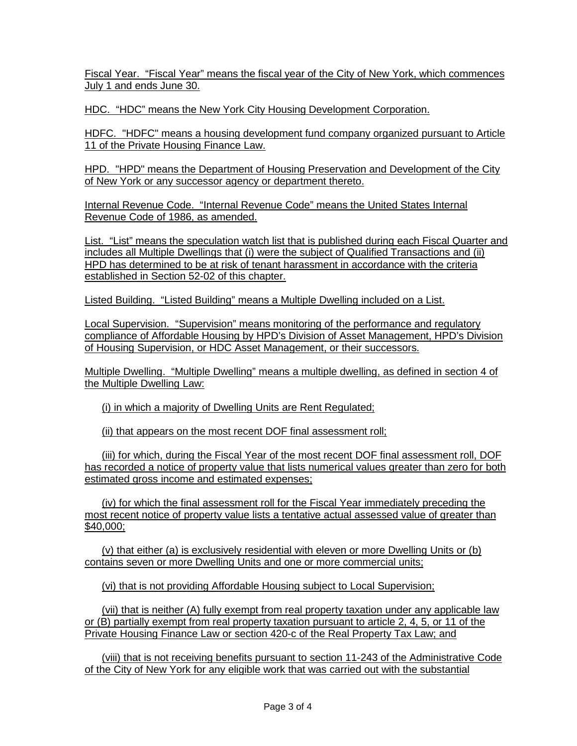Fiscal Year. "Fiscal Year" means the fiscal year of the City of New York, which commences July 1 and ends June 30.

HDC. "HDC" means the New York City Housing Development Corporation.

HDFC. "HDFC" means a housing development fund company organized pursuant to Article 11 of the Private Housing Finance Law.

HPD. "HPD" means the Department of Housing Preservation and Development of the City of New York or any successor agency or department thereto.

Internal Revenue Code. "Internal Revenue Code" means the United States Internal Revenue Code of 1986, as amended.

List. "List" means the speculation watch list that is published during each Fiscal Quarter and includes all Multiple Dwellings that (i) were the subject of Qualified Transactions and (ii) HPD has determined to be at risk of tenant harassment in accordance with the criteria established in Section 52-02 of this chapter.

Listed Building. "Listed Building" means a Multiple Dwelling included on a List.

Local Supervision. "Supervision" means monitoring of the performance and regulatory compliance of Affordable Housing by HPD's Division of Asset Management, HPD's Division of Housing Supervision, or HDC Asset Management, or their successors.

Multiple Dwelling. "Multiple Dwelling" means a multiple dwelling, as defined in section 4 of the Multiple Dwelling Law:

(i) in which a majority of Dwelling Units are Rent Regulated;

(ii) that appears on the most recent DOF final assessment roll;

(iii) for which, during the Fiscal Year of the most recent DOF final assessment roll. DOF has recorded a notice of property value that lists numerical values greater than zero for both estimated gross income and estimated expenses;

(iv) for which the final assessment roll for the Fiscal Year immediately preceding the most recent notice of property value lists a tentative actual assessed value of greater than \$40,000;

(v) that either (a) is exclusively residential with eleven or more Dwelling Units or (b) contains seven or more Dwelling Units and one or more commercial units;

(vi) that is not providing Affordable Housing subject to Local Supervision;

(vii) that is neither (A) fully exempt from real property taxation under any applicable law or (B) partially exempt from real property taxation pursuant to article 2, 4, 5, or 11 of the Private Housing Finance Law or section 420-c of the Real Property Tax Law; and

(viii) that is not receiving benefits pursuant to section 11-243 of the Administrative Code of the City of New York for any eligible work that was carried out with the substantial